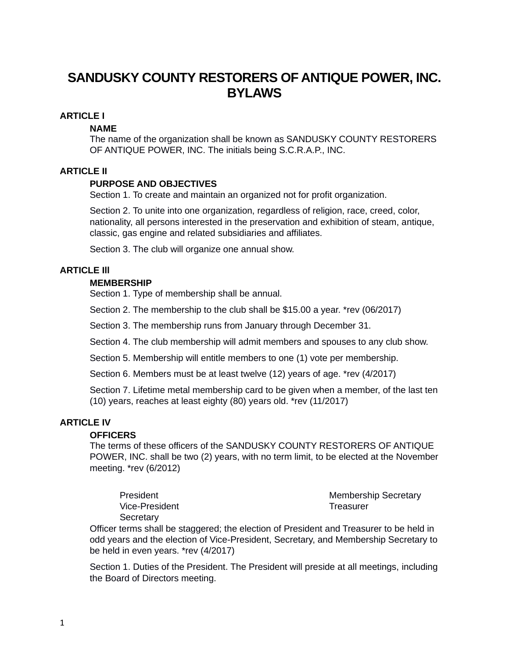# **SANDUSKY COUNTY RESTORERS OF ANTIQUE POWER, INC. BYLAWS**

# **ARTICLE I**

## **NAME**

The name of the organization shall be known as SANDUSKY COUNTY RESTORERS OF ANTIQUE POWER, INC. The initials being S.C.R.A.P., INC.

## **ARTICLE II**

## **PURPOSE AND OBJECTIVES**

Section 1. To create and maintain an organized not for profit organization.

Section 2. To unite into one organization, regardless of religion, race, creed, color, nationality, all persons interested in the preservation and exhibition of steam, antique, classic, gas engine and related subsidiaries and affiliates.

Section 3. The club will organize one annual show.

# **ARTICLE Ill**

#### **MEMBERSHIP**

Section 1. Type of membership shall be annual.

Section 2. The membership to the club shall be \$15.00 a year. \*rev (06/2017)

Section 3. The membership runs from January through December 31.

Section 4. The club membership will admit members and spouses to any club show.

Section 5. Membership will entitle members to one (1) vote per membership.

Section 6. Members must be at least twelve (12) years of age. \*rev (4/2017)

Section 7. Lifetime metal membership card to be given when a member, of the last ten (10) years, reaches at least eighty (80) years old. \*rev (11/2017)

## **ARTICLE IV**

#### **OFFICERS**

The terms of these officers of the SANDUSKY COUNTY RESTORERS OF ANTIQUE POWER, INC. shall be two (2) years, with no term limit, to be elected at the November meeting. \*rev (6/2012)

President Vice-President **Secretary** 

Membership Secretary **Treasurer** 

Officer terms shall be staggered; the election of President and Treasurer to be held in odd years and the election of Vice-President, Secretary, and Membership Secretary to be held in even years. \*rev (4/2017)

Section 1. Duties of the President. The President will preside at all meetings, including the Board of Directors meeting.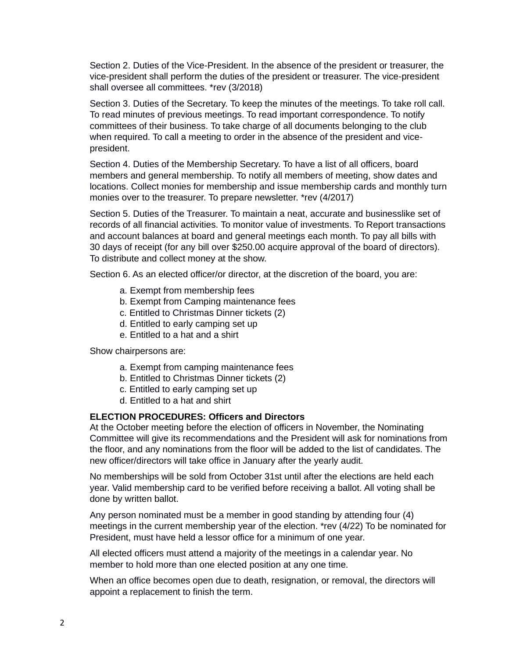Section 2. Duties of the Vice-President. In the absence of the president or treasurer, the vice-president shall perform the duties of the president or treasurer. The vice-president shall oversee all committees. \*rev (3/2018)

Section 3. Duties of the Secretary. To keep the minutes of the meetings. To take roll call. To read minutes of previous meetings. To read important correspondence. To notify committees of their business. To take charge of all documents belonging to the club when required. To call a meeting to order in the absence of the president and vicepresident.

Section 4. Duties of the Membership Secretary. To have a list of all officers, board members and general membership. To notify all members of meeting, show dates and locations. Collect monies for membership and issue membership cards and monthly turn monies over to the treasurer. To prepare newsletter. \*rev (4/2017)

Section 5. Duties of the Treasurer. To maintain a neat, accurate and businesslike set of records of all financial activities. To monitor value of investments. To Report transactions and account balances at board and general meetings each month. To pay all bills with 30 days of receipt (for any bill over \$250.00 acquire approval of the board of directors). To distribute and collect money at the show.

Section 6. As an elected officer/or director, at the discretion of the board, you are:

- a. Exempt from membership fees
- b. Exempt from Camping maintenance fees
- c. Entitled to Christmas Dinner tickets (2)
- d. Entitled to early camping set up
- e. Entitled to a hat and a shirt

Show chairpersons are:

- a. Exempt from camping maintenance fees
- b. Entitled to Christmas Dinner tickets (2)
- c. Entitled to early camping set up
- d. Entitled to a hat and shirt

#### **ELECTION PROCEDURES: Officers and Directors**

At the October meeting before the election of officers in November, the Nominating Committee will give its recommendations and the President will ask for nominations from the floor, and any nominations from the floor will be added to the list of candidates. The new officer/directors will take office in January after the yearly audit.

No memberships will be sold from October 31st until after the elections are held each year. Valid membership card to be verified before receiving a ballot. All voting shall be done by written ballot.

Any person nominated must be a member in good standing by attending four (4) meetings in the current membership year of the election. \*rev (4/22) To be nominated for President, must have held a lessor office for a minimum of one year.

All elected officers must attend a majority of the meetings in a calendar year. No member to hold more than one elected position at any one time.

When an office becomes open due to death, resignation, or removal, the directors will appoint a replacement to finish the term.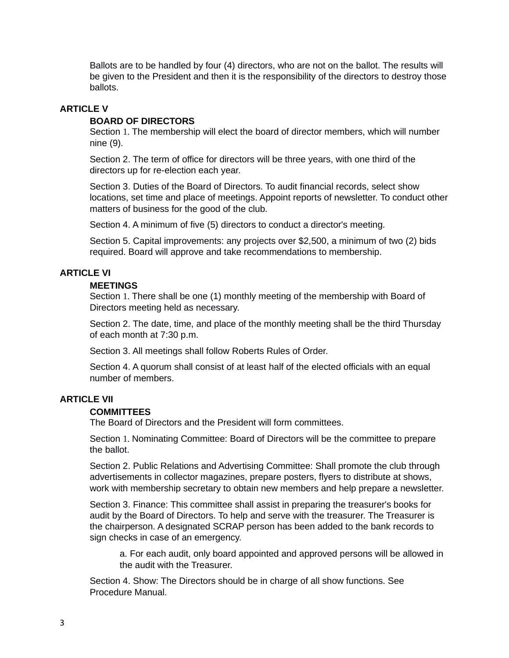Ballots are to be handled by four (4) directors, who are not on the ballot. The results will be given to the President and then it is the responsibility of the directors to destroy those ballots.

#### **ARTICLE V**

#### **BOARD OF DIRECTORS**

Section 1. The membership will elect the board of director members, which will number nine (9).

Section 2. The term of office for directors will be three years, with one third of the directors up for re-election each year.

Section 3. Duties of the Board of Directors. To audit financial records, select show locations, set time and place of meetings. Appoint reports of newsletter. To conduct other matters of business for the good of the club.

Section 4. A minimum of five (5) directors to conduct a director's meeting.

Section 5. Capital improvements: any projects over \$2,500, a minimum of two (2) bids required. Board will approve and take recommendations to membership.

#### **ARTICLE VI**

#### **MEETINGS**

Section 1. There shall be one (1) monthly meeting of the membership with Board of Directors meeting held as necessary.

Section 2. The date, time, and place of the monthly meeting shall be the third Thursday of each month at 7:30 p.m.

Section 3. All meetings shall follow Roberts Rules of Order.

Section 4. A quorum shall consist of at least half of the elected officials with an equal number of members.

## **ARTICLE VII**

#### **COMMITTEES**

The Board of Directors and the President will form committees.

Section 1. Nominating Committee: Board of Directors will be the committee to prepare the ballot.

Section 2. Public Relations and Advertising Committee: Shall promote the club through advertisements in collector magazines, prepare posters, flyers to distribute at shows, work with membership secretary to obtain new members and help prepare a newsletter.

Section 3. Finance: This committee shall assist in preparing the treasurer's books for audit by the Board of Directors. To help and serve with the treasurer. The Treasurer is the chairperson. A designated SCRAP person has been added to the bank records to sign checks in case of an emergency.

a. For each audit, only board appointed and approved persons will be allowed in the audit with the Treasurer.

Section 4. Show: The Directors should be in charge of all show functions. See Procedure Manual.